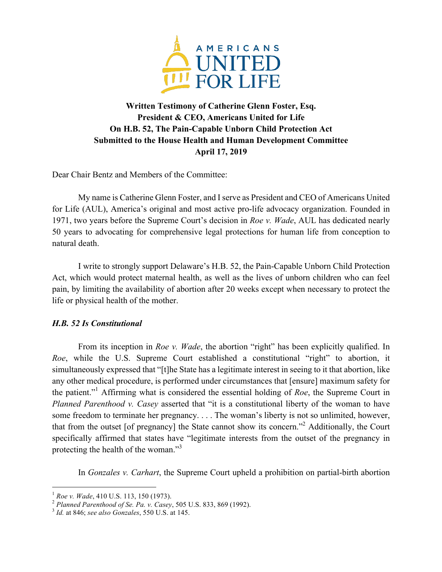

## **Written Testimony of Catherine Glenn Foster, Esq. President & CEO, Americans United for Life On H.B. 52, The Pain-Capable Unborn Child Protection Act Submitted to the House Health and Human Development Committee April 17, 2019**

Dear Chair Bentz and Members of the Committee:

My name is Catherine Glenn Foster, and I serve as President and CEO of Americans United for Life (AUL), America's original and most active pro-life advocacy organization. Founded in 1971, two years before the Supreme Court's decision in *Roe v. Wade*, AUL has dedicated nearly 50 years to advocating for comprehensive legal protections for human life from conception to natural death.

I write to strongly support Delaware's H.B. 52, the Pain-Capable Unborn Child Protection Act, which would protect maternal health, as well as the lives of unborn children who can feel pain, by limiting the availability of abortion after 20 weeks except when necessary to protect the life or physical health of the mother.

## *H.B. 52 Is Constitutional*

From its inception in *Roe v. Wade*, the abortion "right" has been explicitly qualified. In *Roe*, while the U.S. Supreme Court established a constitutional "right" to abortion, it simultaneously expressed that "[t]he State has a legitimate interest in seeing to it that abortion, like any other medical procedure, is performed under circumstances that [ensure] maximum safety for the patient."1 Affirming what is considered the essential holding of *Roe*, the Supreme Court in *Planned Parenthood v. Casey* asserted that "it is a constitutional liberty of the woman to have some freedom to terminate her pregnancy. . . . The woman's liberty is not so unlimited, however, that from the outset [of pregnancy] the State cannot show its concern."2 Additionally, the Court specifically affirmed that states have "legitimate interests from the outset of the pregnancy in protecting the health of the woman."<sup>3</sup>

In *Gonzales v. Carhart*, the Supreme Court upheld a prohibition on partial-birth abortion

i<br>Li

<sup>1</sup> *Roe v. Wade*, 410 U.S. 113, 150 (1973). <sup>2</sup> *Planned Parenthood of Se. Pa. v. Casey*, 505 U.S. 833, 869 (1992). <sup>3</sup> *Id.* at 846; *see also Gonzales*, 550 U.S. at 145.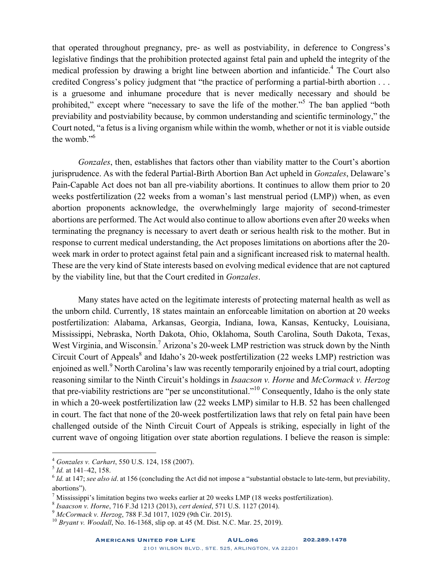that operated throughout pregnancy, pre- as well as postviability, in deference to Congress's legislative findings that the prohibition protected against fetal pain and upheld the integrity of the medical profession by drawing a bright line between abortion and infanticide.<sup>4</sup> The Court also credited Congress's policy judgment that "the practice of performing a partial-birth abortion . . . is a gruesome and inhumane procedure that is never medically necessary and should be prohibited," except where "necessary to save the life of the mother."<sup>5</sup> The ban applied "both previability and postviability because, by common understanding and scientific terminology," the Court noted, "a fetus is a living organism while within the womb, whether or not it is viable outside the womb."6

*Gonzales*, then, establishes that factors other than viability matter to the Court's abortion jurisprudence. As with the federal Partial-Birth Abortion Ban Act upheld in *Gonzales*, Delaware's Pain-Capable Act does not ban all pre-viability abortions. It continues to allow them prior to 20 weeks postfertilization (22 weeks from a woman's last menstrual period (LMP)) when, as even abortion proponents acknowledge, the overwhelmingly large majority of second-trimester abortions are performed. The Act would also continue to allow abortions even after 20 weeks when terminating the pregnancy is necessary to avert death or serious health risk to the mother. But in response to current medical understanding, the Act proposes limitations on abortions after the 20 week mark in order to protect against fetal pain and a significant increased risk to maternal health. These are the very kind of State interests based on evolving medical evidence that are not captured by the viability line, but that the Court credited in *Gonzales*.

Many states have acted on the legitimate interests of protecting maternal health as well as the unborn child. Currently, 18 states maintain an enforceable limitation on abortion at 20 weeks postfertilization: Alabama, Arkansas, Georgia, Indiana, Iowa, Kansas, Kentucky, Louisiana, Mississippi, Nebraska, North Dakota, Ohio, Oklahoma, South Carolina, South Dakota, Texas, West Virginia, and Wisconsin.<sup>7</sup> Arizona's 20-week LMP restriction was struck down by the Ninth Circuit Court of Appeals<sup>8</sup> and Idaho's 20-week postfertilization (22 weeks LMP) restriction was enjoined as well.<sup>9</sup> North Carolina's law was recently temporarily enjoined by a trial court, adopting reasoning similar to the Ninth Circuit's holdings in *Isaacson v. Horne* and *McCormack v. Herzog* that pre-viability restrictions are "per se unconstitutional."<sup>10</sup> Consequently, Idaho is the only state in which a 20-week postfertilization law (22 weeks LMP) similar to H.B. 52 has been challenged in court. The fact that none of the 20-week postfertilization laws that rely on fetal pain have been challenged outside of the Ninth Circuit Court of Appeals is striking, especially in light of the current wave of ongoing litigation over state abortion regulations. I believe the reason is simple:

i<br>Li

<sup>4</sup> *Gonzales v. Carhart*, 550 U.S. 124, <sup>158</sup> (2007). <sup>5</sup> *Id.* at 141–42, 158.

<sup>6</sup> *Id.* at 147; *see also id*. at 156 (concluding the Act did not impose a "substantial obstacle to late-term, but previability, abortions").

<sup>&</sup>lt;sup>7</sup> Mississippi's limitation begins two weeks earlier at 20 weeks LMP (18 weeks postfertilization).<br>
<sup>8</sup> *Isaacson v. Horne*, 716 F.3d 1213 (2013), *cert denied*, 571 U.S. 1127 (2014).<br>
<sup>9</sup> *McCormack v. Herzog*, 788 F.3d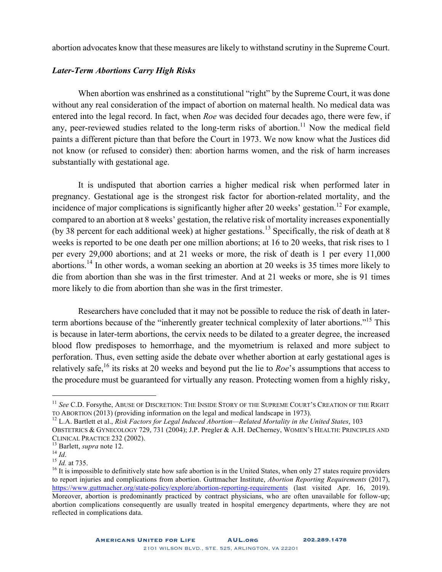abortion advocates know that these measures are likely to withstand scrutiny in the Supreme Court.

## *Later-Term Abortions Carry High Risks*

When abortion was enshrined as a constitutional "right" by the Supreme Court, it was done without any real consideration of the impact of abortion on maternal health. No medical data was entered into the legal record. In fact, when *Roe* was decided four decades ago, there were few, if any, peer-reviewed studies related to the long-term risks of abortion.<sup>11</sup> Now the medical field paints a different picture than that before the Court in 1973. We now know what the Justices did not know (or refused to consider) then: abortion harms women, and the risk of harm increases substantially with gestational age.

It is undisputed that abortion carries a higher medical risk when performed later in pregnancy. Gestational age is the strongest risk factor for abortion-related mortality, and the incidence of major complications is significantly higher after 20 weeks' gestation.<sup>12</sup> For example, compared to an abortion at 8 weeks' gestation, the relative risk of mortality increases exponentially (by 38 percent for each additional week) at higher gestations.<sup>13</sup> Specifically, the risk of death at 8 weeks is reported to be one death per one million abortions; at 16 to 20 weeks, that risk rises to 1 per every 29,000 abortions; and at 21 weeks or more, the risk of death is 1 per every 11,000 abortions.<sup>14</sup> In other words, a woman seeking an abortion at 20 weeks is 35 times more likely to die from abortion than she was in the first trimester. And at 21 weeks or more, she is 91 times more likely to die from abortion than she was in the first trimester.

Researchers have concluded that it may not be possible to reduce the risk of death in laterterm abortions because of the "inherently greater technical complexity of later abortions."<sup>15</sup> This is because in later-term abortions, the cervix needs to be dilated to a greater degree, the increased blood flow predisposes to hemorrhage, and the myometrium is relaxed and more subject to perforation. Thus, even setting aside the debate over whether abortion at early gestational ages is relatively safe,16 its risks at 20 weeks and beyond put the lie to *Roe*'s assumptions that access to the procedure must be guaranteed for virtually any reason. Protecting women from a highly risky,

i<br>Li

<sup>&</sup>lt;sup>11</sup> *See* C.D. Forsythe, ABUSE OF DISCRETION: THE INSIDE STORY OF THE SUPREME COURT'S CREATION OF THE RIGHT TO ABORTION (2013) (providing information on the legal and medical landscape in 1973).

<sup>&</sup>lt;sup>12</sup> L.A. Bartlett et al., *Risk Factors for Legal Induced Abortion—Related Mortality in the United States*, 103

OBSTETRICS & GYNECOLOGY 729, 731 (2004); J.P. Pregler & A.H. DeCherney, WOMEN'S HEALTH: PRINCIPLES AND CLINICAL PRACTICE 232 (2002).

<sup>&</sup>lt;sup>13</sup> Barlett, *supra* note 12.<br><sup>14</sup> *Id.* 15 *Id.* at 735.<br><sup>15</sup> *Id.* at 735.<br><sup>16</sup> It is impossible to definitively state how safe abortion is in the United States, when only 27 states require providers to report injuries and complications from abortion. Guttmacher Institute, *Abortion Reporting Requirements* (2017), https://www.guttmacher.org/state-policy/explore/abortion-reporting-requirements (last visited Apr. 16, 2019). Moreover, abortion is predominantly practiced by contract physicians, who are often unavailable for follow-up; abortion complications consequently are usually treated in hospital emergency departments, where they are not reflected in complications data.